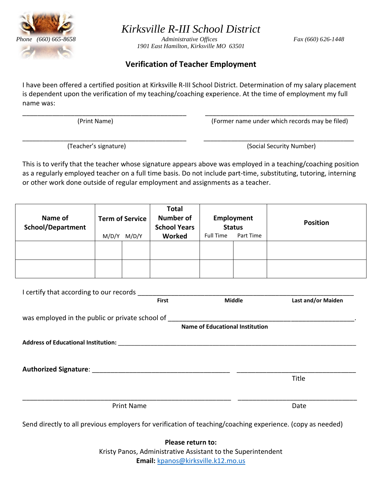

*Kirksville R-III School District*

 *Phone (660) 665-8658 Administrative Offices Fax (660) 626-1448 1901 East Hamilton, Kirksville MO 63501*

## **Verification of Teacher Employment**

I have been offered a certified position at Kirksville R-III School District. Determination of my salary placement is dependent upon the verification of my teaching/coaching experience. At the time of employment my full name was:

\_\_\_\_\_\_\_\_\_\_\_\_\_\_\_\_\_\_\_\_\_\_\_\_\_\_\_\_\_\_\_\_\_\_\_\_\_\_\_\_\_\_\_\_ \_\_\_\_\_\_\_\_\_\_\_\_\_\_\_\_\_\_\_\_\_\_\_\_\_\_\_\_\_\_\_\_\_\_\_\_\_\_\_\_

\_\_\_\_\_\_\_\_\_\_\_\_\_\_\_\_\_\_\_\_\_\_\_\_\_\_\_\_\_\_\_\_\_\_\_\_\_\_\_\_\_\_\_\_\_\_\_\_ \_\_\_\_\_\_\_\_\_\_\_\_\_\_\_\_\_\_\_\_\_\_\_\_\_\_\_\_\_\_\_\_\_\_\_\_\_\_\_\_\_\_\_\_

(Print Name) (Former name under which records may be filed)

(Teacher's signature) (Social Security Number)

This is to verify that the teacher whose signature appears above was employed in a teaching/coaching position as a regularly employed teacher on a full time basis. Do not include part-time, substituting, tutoring, interning or other work done outside of regular employment and assignments as a teacher.

| Name of<br><b>School/Department</b> |       | <b>Term of Service</b> | <b>Total</b><br><b>Number of</b><br><b>School Years</b> | <b>Status</b>    | Employment | <b>Position</b> |
|-------------------------------------|-------|------------------------|---------------------------------------------------------|------------------|------------|-----------------|
|                                     | M/D/Y | M/D/Y                  | <b>Worked</b>                                           | <b>Full Time</b> | Part Time  |                 |
|                                     |       |                        |                                                         |                  |            |                 |
|                                     |       |                        |                                                         |                  |            |                 |

|                                                                                                                                                                                                                                | <b>First</b> | <b>Middle</b>                   | Last and/or Maiden |
|--------------------------------------------------------------------------------------------------------------------------------------------------------------------------------------------------------------------------------|--------------|---------------------------------|--------------------|
| was employed in the public or private school of                                                                                                                                                                                |              |                                 |                    |
|                                                                                                                                                                                                                                |              | Name of Educational Institution |                    |
| Address of Educational Institution: Note that the state of the state of the state of the state of the state of the state of the state of the state of the state of the state of the state of the state of the state of the sta |              |                                 |                    |
|                                                                                                                                                                                                                                |              |                                 |                    |
|                                                                                                                                                                                                                                |              |                                 |                    |
|                                                                                                                                                                                                                                |              |                                 |                    |
|                                                                                                                                                                                                                                |              |                                 | Title              |
|                                                                                                                                                                                                                                |              |                                 |                    |

**Please return to:**  Kristy Panos, Administrative Assistant to the Superintendent **Email:** [kpanos@kirksville.k12.mo.us](mailto:kpanos@kirksville.k12.mo.us)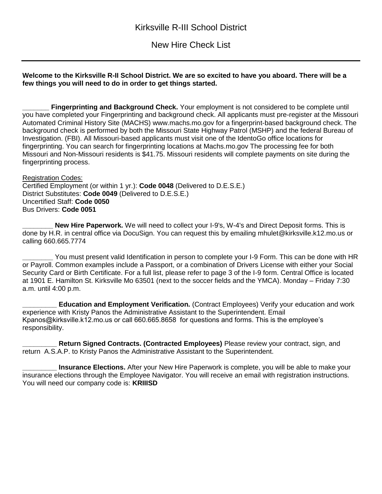New Hire Check List

## **Welcome to the Kirksville R-II School District. We are so excited to have you aboard. There will be a few things you will need to do in order to get things started.**

**Fingerprinting and Background Check.** Your employment is not considered to be complete until you have completed your Fingerprinting and background check. All applicants must pre-register at the Missouri Automated Criminal History Site (MACHS) www.machs.mo.gov for a fingerprint-based background check. The background check is performed by both the Missouri State Highway Patrol (MSHP) and the federal Bureau of Investigation. (FBI). All Missouri-based applicants must visit one of the IdentoGo office locations for fingerprinting. You can search for fingerprinting locations at Machs.mo.gov The processing fee for both Missouri and Non-Missouri residents is \$41.75. Missouri residents will complete payments on site during the fingerprinting process.

Registration Codes: Certified Employment (or within 1 yr.): **Code 0048** (Delivered to D.E.S.E.) District Substitutes: **Code 0049** (Delivered to D.E.S.E.) Uncertified Staff: **Code 0050** Bus Drivers: **Code 0051**

**New Hire Paperwork.** We will need to collect your I-9's, W-4's and Direct Deposit forms. This is done by H.R. in central office via DocuSign. You can request this by emailing mhulet@kirksville.k12.mo.us or calling 660.665.7774

You must present valid Identification in person to complete your I-9 Form. This can be done with HR or Payroll. Common examples include a Passport, or a combination of Drivers License with either your Social Security Card or Birth Certificate. For a full list, please refer to page 3 of the I-9 form. Central Office is located at 1901 E. Hamilton St. Kirksville Mo 63501 (next to the soccer fields and the YMCA). Monday – Friday 7:30 a.m. until 4:00 p.m.

**\_\_\_\_\_\_\_\_\_ Education and Employment Verification.** (Contract Employees) Verify your education and work experience with Kristy Panos the Administrative Assistant to the Superintendent. Email Kpanos@kirksville.k12.mo.us or call 660.665.8658 for questions and forms. This is the employee's responsibility.

**\_\_\_\_\_\_\_\_\_ Return Signed Contracts. (Contracted Employees)** Please review your contract, sign, and return A.S.A.P. to Kristy Panos the Administrative Assistant to the Superintendent.

**\_\_\_\_\_\_\_\_\_ Insurance Elections.** After your New Hire Paperwork is complete, you will be able to make your insurance elections through the Employee Navigator. You will receive an email with registration instructions. You will need our company code is: **KRIIISD**